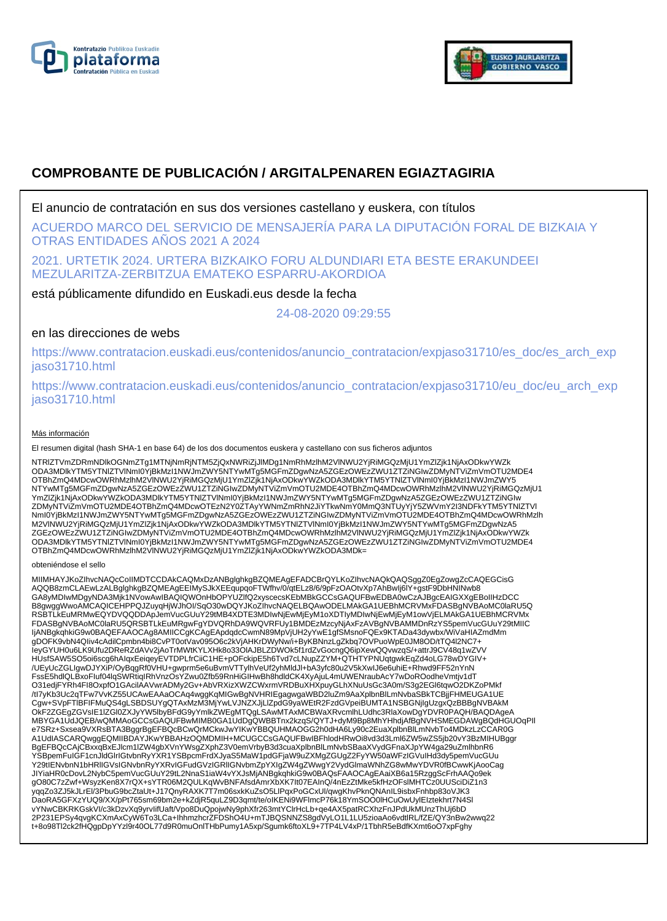



# **COMPROBANTE DE PUBLICACIÓN / ARGITALPENAREN EGIAZTAGIRIA**

El anuncio de contratación en sus dos versiones castellano y euskera, con títulos

ACUERDO MARCO DEL SERVICIO DE MENSAJERÍA PARA LA DIPUTACIÓN FORAL DE BIZKAIA Y OTRAS ENTIDADES AÑOS 2021 A 2024

2021. URTETIK 2024. URTERA BIZKAIKO FORU ALDUNDIARI ETA BESTE ERAKUNDEEI MEZULARITZA-ZERBITZUA EMATEKO ESPARRU-AKORDIOA

está públicamente difundido en Euskadi.eus desde la fecha

24-08-2020 09:29:55

## en las direcciones de webs

https://www.contratacion.euskadi.eus/contenidos/anuncio\_contratacion/expjaso31710/es\_doc/es\_arch\_exp jaso31710.html

https://www.contratacion.euskadi.eus/contenidos/anuncio\_contratacion/expjaso31710/eu\_doc/eu\_arch\_exp jaso31710.html

### Más información

El resumen digital (hash SHA-1 en base 64) de los dos documentos euskera y castellano con sus ficheros adjuntos

NTRlZTVmZDRmNDlkOGNmZTg1MTNjNmRjNTM5ZjQxNWRiZjJlMDg1NmRhMzlhM2VlNWU2YjRiMGQzMjU1YmZlZjk1NjAxODkwYWZk ODA3MDlkYTM5YTNlZTVlNmI0YjBkMzI1NWJmZWY5NTYwMTg5MGFmZDgwNzA5ZGEzOWEzZWU1ZTZiNGIwZDMyNTViZmVmOTU2MDE4 OTBhZmQ4MDcwOWRhMzlhM2VlNWU2YjRiMGQzMjU1YmZlZjk1NjAxODkwYWZkODA3MDlkYTM5YTNlZTVlNml0YjBkMzI1NWJmZWY5<br>NTYwMTg5MGFmZDgwNzA5ZGEzOWEzZWU1ZTZiNGIwZDMyNTViZmVmOTU2MDE4OTBhZmQ4MDcwOWRhMzlhM2VlNWU2YjRiMGQzMjU1 YmZlZjk1NjAxODkwYWZkODA3MDlkYTM5YTNlZTVlNmI0YjBkMzI1NWJmZWY5NTYwMTg5MGFmZDgwNzA5ZGEzOWEzZWU1ZTZiNGIw ZDMyNTViZmVmOTU2MDE4OTBhZmQ4MDcwOTEzN2Y0ZTAyYWNmZmRhN2JiYTkwNmY0MmQ3NTUyYjY5ZWVmY2I3NDFkYTM5YTNlZTVl NmI0YjBkMzI1NWJmZWY5NTYwMTg5MGFmZDgwNzA5ZGEzOWEzZWU1ZTZiNGIwZDMyNTViZmVmOTU2MDE4OTBhZmQ4MDcwOWRhMzlh M2VlNWU2YjRiMGQzMjU1YmZlZjk1NjAxODkwYWZkODA3MDlkYTM5YTNlZTVlNmI0YjBkMzI1NWJmZWY5NTYwMTg5MGFmZDgwNzA5 ZGEzOWEzZWU1ZTZiNGIwZDMyNTViZmVmOTU2MDE4OTBhZmQ4MDcwOWRhMzlhM2VlNWU2YjRiMGQzMjU1YmZlZjk1NjAxODkwYWZk ODA3MDlkYTM5YTNlZTVlNmI0YjBkMzI1NWJmZWY5NTYwMTg5MGFmZDgwNzA5ZGEzOWEzZWU1ZTZiNGIwZDMyNTViZmVmOTU2MDE4 OTBhZmQ4MDcwOWRhMzlhM2VlNWU2YjRiMGQzMjU1YmZlZjk1NjAxODkwYWZkODA3MDk=

#### obteniéndose el sello

MIIMHAYJKoZIhvcNAQcCoIIMDTCCDAkCAQMxDzANBglghkgBZQMEAgEFADCBrQYLKoZIhvcNAQkQAQSggZ0EgZowgZcCAQEGCisG AQQB8zmCLAEwLzALBglghkgBZQMEAgEEIMySJkXEEqupqoFTWfhv/0/qtELz8/6/9pFzOAOtvXp7AhBwIj6lY+gstF9DbHNINwb8 GA8yMDIwMDgyNDA3Mjk1NVowAwIBAQIQWOnHbOPYUZIfQ2xyscecsKEbMBkGCCsGAQUFBwEDBA0wCzAJBgcEAIGXXgEBoIIHzDCC<br>B8gwggWwoAMCAQICEHPPQJZuyqHjWJhOI/SqO30wDQYJKoZIhvcNAQELBQAwODELMAkGA1UEBhMCRVMxFDASBgNVBAoMC0laRU5Q RSBTLkEuMRMwEQYDVQQDDApJemVucGUuY29tMB4XDTE3MDIwNjEwMjEyM1oXDTIyMDIwNjEwMjEyM1owVjELMAkGA1UEBhMCRVMx FDASBgNVBAoMC0laRU5QRSBTLkEuMRgwFgYDVQRhDA9WQVRFUy1BMDEzMzcyNjAxFzAVBgNVBAMMDnRzYS5pemVucGUuY29tMIIC IjANBgkqhkiG9w0BAQEFAAOCAg8AMIICCgKCAgEApdqdcCwmN89MpVjUH2yYwE1gfSMsnoFQEx9KTADa43dywbx/WiVaHIAZmdMm gDOFK9vbN4QIiv4cAdilCpmbn4bi8CvPT0otVav095O6c2kVjAHKrDWyNw/i+ByKBNnzLgZkbq7OVPuoWpE0JM8OD/tTQ4l2NC7+ IeyGYUH0u6LK9Ufu2DReRZdAVv2jAoTrMWtKYLXHk8o33OlAJBLZDWOk5f1rdZvGocngQ6ipXewQQvwzqS/+attrJ9CV48q1wZVV HUsfSAW5SO5oi6scg6hAlqxEeiqeyEVTDPLfrCiiC1HE+pOFckipE5h6Tvd7cLNupZZYM+QTHTYPNUqtgwkEqZd4oLG78wDYGIV+<br>/UEyUcZGLIgwDJYXiP/OyBqgRf0VHU+gwprm5e6uBvmVTTylhVeUf2yhMldJl+bA3yfc80u2V5kXwIJ6e6uhiE+Rhwd9FF52nYnN<br>FssE5hdlQLBxoFluf04l O31edjFYRh4FI8OxpfO1GAcilAAVwrADMy2Gv+AbVRXizXWZCWxrmVRDBuXHXpuyGLhXNuUsGc3A0m/S3g2EGl6tqwO2DKZoPMkf /tI7yKb3Uc2qTFw7VvKZ55UCAwEAAaOCAq4wggKqMIGwBgNVHRIEgagwgaWBD2luZm9AaXplbnBlLmNvbaSBkTCBjjFHMEUGA1UE Cgw+SVpFTlBFIFMuQS4gLSBDSUYgQTAxMzM3MjYwLVJNZXJjLlZpdG9yaWEtR2FzdGVpeiBUMTA1NSBGNjIgUzgxQzBBBgNVBAkM OkF2ZGEgZGVsIE1lZGl0ZXJyYW5lbyBFdG9yYmlkZWEgMTQgLSAwMTAxMCBWaXRvcmlhLUdhc3RlaXowDgYDVR0PAQH/BAQDAgeA MBYGA1UdJQEB/wQMMAoGCCsGAQUFBwMIMB0GA1UdDgQWBBTnx2kzqS/QYTJ+dyM9Bp8MhYHhdjAfBgNVHSMEGDAWgBQdHGUOqPIl e7SRz+Sxsea9VXRsBTA3BggrBgEFBQcBCwQrMCkwJwYIKwYBBQUHMAOGG2h0dHA6Ly90c2EuaXplbnBlLmNvbTo4MDkzLzCCAR0G A1UdIASCARQwggEQMIIBDAYJKwYBBAHzOQMDMIH+MCUGCCsGAQUFBwIBFhlodHRwOi8vd3d3Lml6ZW5wZS5jb20vY3BzMIHUBggr BgEFBQcCAjCBxxqBxEJlcm1lZW4gbXVnYWsgZXphZ3V0emVrbyB3d3cuaXplbnBlLmNvbSBaaXVydGFnaXJpYW4ga29uZmlhbnR6 YSBpemFuIGF1cnJldGlrIGtvbnRyYXR1YSBpcmFrdXJyaS5MaW1pdGFjaW9uZXMgZGUgZ2FyYW50aWFzIGVuIHd3dy5pemVucGUu Y29tIENvbnN1bHRlIGVsIGNvbnRyYXRvIGFudGVzIGRIIGNvbmZpYXIgZW4gZWwgY2VydGlmaWNhZG8wMwYDVR0fBCwwKjAooCag JIYiaHR0cDovL2NybC5pemVucGUuY29tL2NnaS1iaW4vYXJsMjANBgkqhkiG9w0BAQsFAAOCAgEAaiXB6a15RzggScFrhAAQo9ek gO80C7zZwf+WsyzKen8X7rQX+sYTR06M2QULKqWvBNFAfsdAmrXbXK7It07EAInQ/4nEzZtMke5kfHzOFslMHTCz0UUSciDiZ1n3 yqqZo3ZJ5kJLrEl/3PbuG9bcZtaUt+J17QnyRAXK7T7m06sxkKuZsO5LlPqxPoGCxUl/qwgKhvPknQNAnIL9isbxFnhbp83oVJK3<br>DaoRA5GFXzYUQ9/XX/pPt765sm69bm2e+kZdjR5quLZ9D3qmt/te/oIKENi9WFlmcP76k18YmSOO0lHCuOwUylEIztekhrt7N4Sl vYNwCBKRKGskVI/c3kDzvXq9yrvIifUaft/Vpo8DuQpojwNy9phXfr263mtYClrHcLb+qe4AX5patRCXhzFnJPdUkMUnzThUj6bD 2P231EPSy4qvgKCXmAxCyW6To3LCa+IhhmzhcrZFDShO4U+mTJBQSNNZS8gdVyLO1L1LU5zioaAo6vdtlRL/fZE/QY3nBw2wwq22 t+8o98Tl2ck2fHQgpDpYYzl9r40OL77d9R0muOnlTHbPumy1A5xp/Sgumk6ftoXL9+7TP4LV4xP/1TbhR5eBdfKXmt6oO7xpFghy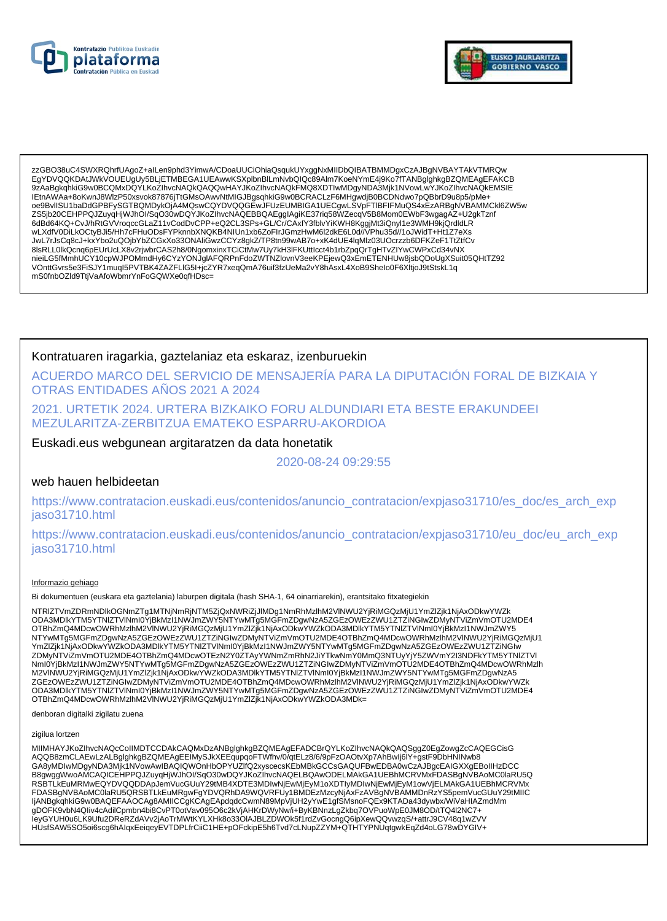



zzGBO38uC4SWXRQhrfUAgoZ+alLen9phd3YimwA/CDoaUUCiOhiaQsqukUYxggNxMIIDbQIBATBMMDgxCzAJBgNVBAYTAkVTMRQw EqYDVQQKDAtJWkVOUEUqUy5BLjETMBEGA1UEAwwKSXplbnBlLmNvbQlQc89Alm7KoeNYmE4j9Ko7fTANBqlqhkqBZQMEAqEFAKCB 9ZAaBgkqhkiG9w0BCQMxDQYLKoZlhvcNAQkQAQQwHAYJKoZlhvcNAQkFMQ8XDTIwMDgyNDA3Mjk1NVowLwYJKoZlhvcNAQkEMSIE IEtnAWAa+8oKwnJ8WlzP50xsvok87876jTtGMsOAwvNtMIGJBgsqhkiG9w0BCRACLzF6MHgwdjB0BCDNdwo7pQBbrD9u8p5/pMe+ oe9BvllSU1baDdGPBFySGTBQMDykOjA4MQswCQYDVQQGEwJFUzEUMBIGA1UECgwLSVpFTIBFIFMuQS4xEzARBgNVBAMMCkl6ZW5w ZS5jb20CEHPPQJZuyqHjWJhOI/SqO30wDQYJKoZIhvcNAQEBBQAEggIAgiKE37riq58WZecqV5B8Mom0EWbF3wgagAZ+U2gkTznf 6dBd64KQ+CvJ/hRtGVVroqccGLaZ11vCodDvCPP+eQ2CL3SPs+GL/Cr/CAxfY3fblvYiKWH8KggjMt3iQnyl1e3WMH9kjQrdldLR wLXdfV0DiLkOCtyBJi5/Hh7cFHuODsFYPknnbXNQKB4NIUn1xb6ZoFIrJGmzHwM6l2dkE6L0d//VPhu35d//1oJWidT+Ht1Z7eXs VERTICAL CONSUMERTY OF THE CONTRACT TO A CONTRACT THE CONTRACT TO A CONTRACT THE CONTRACT OF THE CONTRACT OF SUCKLED AND THE CONTRACT OF SUCKLED AND THE CONTRACT OF SUCKLED AND SERIES OF THE CONTRACT OF SUCKLED AND SERIES nieiLG5fMmhUCY10cpWJPOMmdHy6CYzYONJqlAFQRPnFdoZWTNZlovnV3eeKPEjewQ3xEmETENHUw8jsbQDoUgXSuit05QHtTZ92 VOnttGvrs5e3FiSJY1muql5PVTBK4ZAZFLIG5I+jcZYR7xeqQmA76uif3fzUeMa2vY8nAsxL4XoB9Shelo0F6XltjoJ9tStskL1q mS0fnbOZld9TtjVaAfoWbmrYnFoGQWXe0qfHDsc=

### Kontratuaren iragarkia, gaztelaniaz eta eskaraz, izenburuekin

ACUERDO MARCO DEL SERVICIO DE MENSAJERÍA PARA LA DIPUTACIÓN FORAL DE BIZKAIA Y **OTRAS ENTIDADES ANOS 2021 A 2024** 

2021. URTETIK 2024. URTERA BIZKAIKO FORU ALDUNDIARI ETA BESTE ERAKUNDEEI MEZULARITZA-ZERBITZUA EMATEKO ESPARRU-AKORDIOA

Euskadi.eus webgunean argitaratzen da data honetatik

2020-08-24 09:29:55

### web hauen helbideetan

https://www.contratacion.euskadi.eus/contenidos/anuncio\_contratacion/expjaso31710/es\_doc/es\_arch\_exp jaso31710.html

https://www.contratacion.euskadi.eus/contenidos/anuncio contratacion/expjaso31710/eu doc/eu arch exp jaso31710.html

#### Informazio gehiago

Bi dokumentuen (euskara eta gaztelania) laburpen digitala (hash SHA-1, 64 oinarriarekin), erantsitako fitxategiekin

NTRIZTVmZDRmNDlkOGNmZTg1MTNjNmRjNTM5ZjQxNWRiZjJlMDg1NmRhMzlhM2VlNWU2YjRiMGQzMjU1YmZlZjk1NjAxODkwYWZk ODA3MDIkYTM5YTNIZTVINmI0YjBkMzI1NWJmZWY5NTYwMTg5MGFmZDgwNzA5ZGEzOWEzZWU1ZTZiNGIwZDMyNTViZmVmOTU2MDE4 OTBhZmQ4MDcwOWRhMzlhM2VINWU2YjRiMGQzMjU1YmZlZjK1NjAxODkwYWZkODA3MDlkYTM5YTNIZTVlNml0YjBkMzl1NWJmZWY5 NTYwMTg5MGFmZDgwNzA5ZGEzOWEzZWU1ZTZiNGIwZDMyNTViZmVmOTU2MDE4OTBhZmQ4MDcwOWRhMzIhM2VINWU2YjRiMGQzMjU1 YmZlZjk1NjAxODkwYWZkODA3MDlkYTM5YTNIZTVINmI0YjBkMzI1NWJmZWY5NTYwMTg5MGFmZDgwNzA5ZGEzOWEzZWU1ZTZiNGIw ZDMyNTViZmVmOTU2MDE4OTBhZmQ4MDcwOTEzN2Y0ZTAyYWNmZmRhN2JiYTkwNmY0MmQ3NTUyYjY5ZWVmY2I3NDFkYTM5YTNIZTVI 2006/07/2016/2020/2020 Nml0YjBkMz11NWJmZWY5NTYwMTg5MGFmZDgwNzA5ZGEzOWEzZWU1ZTZiNGIwZDMyNTViZmVmOTU2MDE4OTBhZmQ4MDcwOWRhMzlh<br>M2VINWU2YjRiMGQzMjU1YmZlZjk1NjAxODkwYWZkODA3MDlkYTM5YTNlZTVlNml0YjBkMzI1NWJmZWY5NTYwMTg5MGFmZDgwNz ZGEzOWEzZWU1ZTZIŃGIwZDMyNTVIZmVmOTU2MDE4OTBhZmQ4MDcwOWRhMzIhM2VINWU2YjRiMGQzMjU1YmZlZjk1NjAxODkwYWZk ODA3MDlkYTM5YTNIZTVINmI0YjBkMzI1NWJmZWY5NTYwMTg5MGFmZDgwNzA5ZGEzOWEzZWU1ZTZiNGIwZDMyNTViZmVmOTU2MDE4 OTBhZmQ4MDcwOWRhMzlhM2VINWU2YjRiMGQzMjU1YmZlZjK1NjAxODkwYWZkODA3MDk=

denboran digitalki zigilatu zuena

#### zigilua lortzen

MIIMHAYJKoZIhvcNAQcCoIIMDTCCDAkCAQMxDzANBglghkgBZQMEAgEFADCBrQYLKoZIhvcNAQkQAQSggZ0EgZowgZcCAQEGCisG AQQB8zmCLAEwLzALBglghkgBZQMEAgEEIMySJkXEEqupqoFTWfhv/0/qtELz8/6/9pFzOAOtvXp7AhBwlj6lY+gstF9DbHNINwb8 GA8yMDIwMDgyNDA3Mjk1NVowAwIBAQIQWOnHbOPYUZIfQ2xyscecsKEbMBkGCCsGAQUFBwEDBA0wCzAJBgcEAIGXXgEBoIIHzDCC B8qwqqWwoAMCAQICEHPPQJZuyqHjWJhOI/SqO30wDQYJKoZIhvcNAQELBQAwODELMAkGA1UEBhMCRVMxFDASBqNVBAoMC0laRU5Q RSBTLKEuMRMwEQYDVQQDDApJemVucGUuY29tMB4XDTE3MDlwNjEwMjEyM1oXDTIyMDlwNjEwMjEyM1owVjELMAkGA1UEBhMCRVMx FDASBgNVBAoMC0laRU5QRSBTLkEuMRgwFgYDVQRhDA9WQVRFUy1BMDEzMzcyNjAxFzAVBgNVBAMMDnRzYS5pemVucGUuY29tMIIC IjANBgkqhkiG9w0BAQEFAAOCAg8AMIICCgKCAgEApdqdcCwmN89MpVjUH2yYwE1gfSMsnoFQEx9KTADa43dywbx/WiVaHIAZmdMm gDOFK9vbN4Qliv4cAdilCpmbn4bi8CvPT0otVav095O6c2kVjAHKrDWyNw/i+ByKBNnzLgZkbq7OVPuoWpE0JM8OD/tTQ4l2NC7+ leyGYUH0u6LK9Ufu2DReRZdAVv2jAoTrMWtKYLXHk8o33OIAJBLZDWOk5f1rdZvGocngQ6ipXewQQvwzqS/+attrJ9CV48q1wZVV HUsfSAW5SO5oi6scg6hAlqxEeiqeyEVTDPLfrCiiC1HE+pOFckipE5h6Tvd7cLNupZZYM+QTHTYPNUqtgwkEqZd4oLG78wDYGIV+